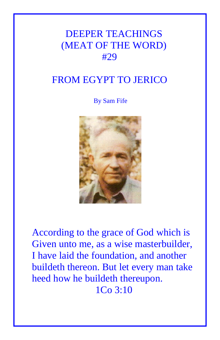## DEEPER TEACHINGS (MEAT OF THE WORD) #29

## FROM EGYPT TO JERICO

By Sam Fife



According to the grace of God which is Given unto me, as a wise masterbuilder, I have laid the foundation, and another buildeth thereon. But let every man take heed how he buildeth thereupon. 1Co 3:10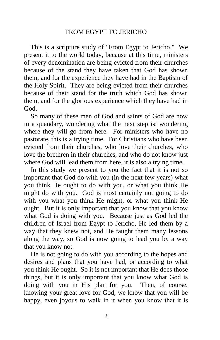## FROM EGYPT TO JERICHO

 This is a scripture study of "From Egypt to Jericho." We present it to the world today, because at this time, ministers of every denomination are being evicted from their churches because of the stand they have taken that God has shown them, and for the experience they have had in the Baptism of the Holy Spirit. They are being evicted from their churches because of their stand for the truth which God has shown them, and for the glorious experience which they have had in God.

 So many of these men of God and saints of God are now in a quandary, wondering what the next step is; wondering where they will go from here. For ministers who have no pastorate, this is a trying time. For Christians who have been evicted from their churches, who love their churches, who love the brethren in their churches, and who do not know just where God will lead them from here, it is also a trying time.

 In this study we present to you the fact that it is not so important that God do with you (in the next few years) what you think He ought to do with you, or what you think He might do with you. God is most certainly not going to do with you what you think He might, or what you think He ought. But it is only important that you know that you know what God is doing with you. Because just as God led the children of Israel from Egypt to Jericho, He led them by a way that they knew not, and He taught them many lessons along the way, so God is now going to lead you by a way that you know not.

 He is not going to do with you according to the hopes and desires and plans that you have had, or according to what you think He ought. So it is not important that He does those things, but it is only important that you know what God is doing with you in His plan for you. Then, of course, knowing your great love for God, we know that you will be happy, even joyous to walk in it when you know that it is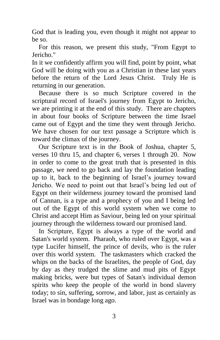God that is leading you, even though it might not appear to be so.

 For this reason, we present this study, "From Egypt to Jericho."

In it we confidently affirm you will find, point by point, what God will be doing with you as a Christian in these last years before the return of the Lord Jesus Christ. Truly He is returning in our generation.

 Because there is so much Scripture covered in the scriptural record of Israel's journey from Egypt to Jericho, we are printing it at the end of this study. There are chapters in about four books of Scripture between the time Israel came out of Egypt and the time they went through Jericho. We have chosen for our text passage a Scripture which is toward the climax of the journey.

 Our Scripture text is in the Book of Joshua, chapter 5, verses 10 thru 15, and chapter 6, verses 1 through 20. Now in order to come to the great truth that is presented in this passage, we need to go back and lay the foundation leading up to it, back to the beginning of Israel's journey toward Jericho. We need to point out that Israel's being led out of Egypt on their wilderness journey toward the promised land of Cannan, is a type and a prophecy of you and I being led out of the Egypt of this world system when we come to Christ and accept Him as Saviour, being led on your spiritual journey through the wilderness toward our promised land.

 In Scripture, Egypt is always a type of the world and Satan's world system. Pharaoh, who ruled over Egypt, was a type Lucifer himself, the prince of devils, who is the ruler over this world system. The taskmasters which cracked the whips on the backs of the Israelites, the people of God, day by day as they trudged the slime and mud pits of Egypt making bricks, were but types of Satan's individual demon spirits who keep the people of the world in bond slavery today; to sin, suffering, sorrow, and labor, just as certainly as Israel was in bondage long ago.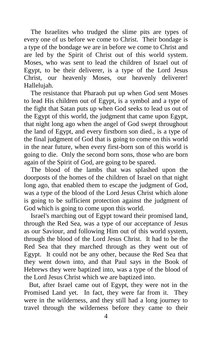The Israelites who trudged the slime pits are types of every one of us before we come to Christ. Their bondage is a type of the bondage we are in before we come to Christ and are led by the Spirit of Christ out of this world system. Moses, who was sent to lead the children of Israel out of Egypt, to be their deliverer, is a type of the Lord Jesus Christ, our heavenly Moses, our heavenly deliverer! Hallelujah.

 The resistance that Pharaoh put up when God sent Moses to lead His children out of Egypt, is a symbol and a type of the fight that Satan puts up when God seeks to lead us out of the Egypt of this world, the judgment that came upon Egypt, that night long ago when the angel of God swept throughout the land of Egypt, and every firstborn son died., is a type of the final judgment of God that is going to come on this world in the near future, when every first-born son of this world is going to die. Only the second born sons, those who are born again of the Spirit of God, are going to be spared.

 The blood of the lambs that was splashed upon the doorposts of the homes of the children of Israel on that night long ago, that enabled them to escape the judgment of God, was a type of the blood of the Lord Jesus Christ which alone is going to be sufficient protection against the judgment of God which is going to come upon this world.

 Israel's marching out of Egypt toward their promised land, through the Red Sea, was a type of our acceptance of Jesus as our Saviour, and following Him out of this world system, through the blood of the Lord Jesus Christ. It had to be the Red Sea that they marched through as they went out of Egypt. It could not be any other, because the Red Sea that they went down into, and that Paul says in the Book of Hebrews they were baptized into, was a type of the blood of the Lord Jesus Christ which we are baptized into.

 But, after Israel came out of Egypt, they were not in the Promised Land yet. In fact, they were far from it. They were in the wilderness, and they still had a long journey to travel through the wilderness before they came to their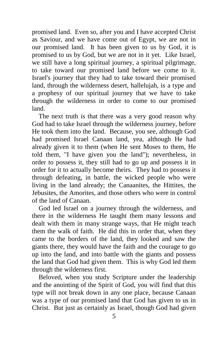promised land. Even so, after you and I have accepted Christ as Saviour, and we have come out of Egypt, we are not in our promised land. It has been given to us by God, it is promised to us by God, but we are not in it yet. Like Israel, we still have a long spiritual journey, a spiritual pilgrimage, to take toward our promised land before we come to it. Israel's journey that they had to take toward their promised land, through the wilderness desert, hallelujah, is a type and a prophesy of our spiritual journey that we have to take through the wilderness in order to come to our promised land.

 The next truth is that there was a very good reason why God had to take Israel through the wilderness journey, before He took them into the land. Because, you see, although God had promised Israel Canaan land, yea, although He had already given it to them (when He sent Moses to them, He told them, "I have given you the land"); nevertheless, in order to possess it, they still had to go up and possess it in order for it to actually become theirs. They had to possess it through defeating, in battle, the wicked people who were living in the land already; the Canaanites, the Hittites, the Jebusites, the Amorites, and those others who were in control of the land of Canaan.

 God led Israel on a journey through the wilderness, and there in the wilderness He taught them many lessons and dealt with them in many strange ways, that He might teach them the walk of faith. He did this in order that, when they came to the borders of the land, they looked and saw the giants there, they would have the faith and the courage to go up into the land, and into battle with the giants and possess the land that God had given them. This is why God led them through the wilderness first.

 Beloved, when you study Scripture under the leadership and the anointing of the Spirit of God, you will find that this type will not break down in any one place, because Canaan was a type of our promised land that God has given to us in Christ. But just as certainly as Israel, though God had given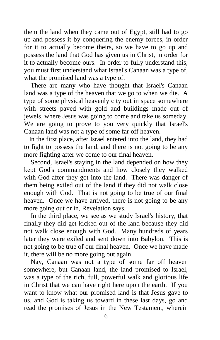them the land when they came out of Egypt, still had to go up and possess it by conquering the enemy forces, in order for it to actually become theirs, so we have to go up and possess the land that God has given us in Christ, in order for it to actually become ours. In order to fully understand this, you must first understand what Israel's Canaan was a type of, what the promised land was a type of.

 There are many who have thought that Israel's Canaan land was a type of the heaven that we go to when we die. A type of some physical heavenly city out in space somewhere with streets paved with gold and buildings made out of jewels, where Jesus was going to come and take us someday. We are going to prove to you very quickly that Israel's Canaan land was not a type of some far off heaven.

 In the first place, after Israel entered into the land, they had to fight to possess the land, and there is not going to be any more fighting after we come to our final heaven.

 Second, Israel's staying in the land depended on how they kept God's commandments and how closely they walked with God after they got into the land. There was danger of them being exiled out of the land if they did not walk close enough with God. That is not going to be true of our final heaven. Once we have arrived, there is not going to be any more going out or in, Revelation says.

 In the third place, we see as we study Israel's history, that finally they did get kicked out of the land because they did not walk close enough with God. Many hundreds of years later they were exiled and sent down into Babylon. This is not going to be true of our final heaven. Once we have made it, there will be no more going out again.

 Nay, Canaan was not a type of some far off heaven somewhere, but Canaan land, the land promised to Israel, was a type of the rich, full, powerful walk and glorious life in Christ that we can have right here upon the earth. If you want to know what our promised land is that Jesus gave to us, and God is taking us toward in these last days, go and read the promises of Jesus in the New Testament, wherein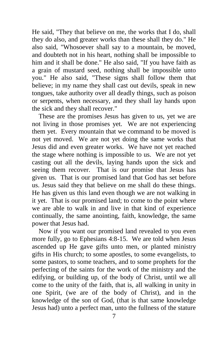He said, "They that believe on me, the works that I do, shall they do also, and greater works than these shall they do." He also said, "Whosoever shall say to a mountain, be moved, and doubteth not in his heart, nothing shall be impossible to him and it shall be done." He also said, "If you have faith as a grain of mustard seed, nothing shall be impossible unto you." He also said, "These signs shall follow them that believe; in my name they shall cast out devils, speak in new tongues, take authority over all deadly things, such as poison or serpents, when necessary, and they shall lay hands upon the sick and they shall recover."

 These are the promises Jesus has given to us, yet we are not living in those promises yet. We are not experiencing them yet. Every mountain that we command to be moved is not yet moved. We are not yet doing the same works that Jesus did and even greater works. We have not yet reached the stage where nothing is impossible to us. We are not yet casting out all the devils, laying hands upon the sick and seeing them recover. That is our promise that Jesus has given us. That is our promised land that God has set before us. Jesus said they that believe on me shall do these things. He has given us this land even though we are not walking in it yet. That is our promised land; to come to the point where we are able to walk in and live in that kind of experience continually, the same anointing, faith, knowledge, the same power that Jesus had.

 Now if you want our promised land revealed to you even more fully, go to Ephesians 4:8-15. We are told when Jesus ascended up He gave gifts unto men, or planted ministry gifts in His church; to some apostles, to some evangelists, to some pastors, to some teachers, and to some prophets for the perfecting of the saints for the work of the ministry and the edifying, or building up, of the body of Christ, until we all come to the unity of the faith, that is, all walking in unity in one Spirit, (we are of the body of Christ), and in the knowledge of the son of God, (that is that same knowledge Jesus had) unto a perfect man, unto the fullness of the stature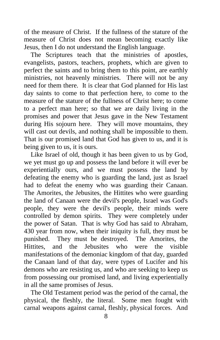of the measure of Christ. If the fullness of the stature of the measure of Christ does not mean becoming exactly like Jesus, then I do not understand the English language.

 The Scriptures teach that the ministries of apostles, evangelists, pastors, teachers, prophets, which are given to perfect the saints and to bring them to this point, are earthly ministries, not heavenly ministries. There will not be any need for them there. It is clear that God planned for His last day saints to come to that perfection here, to come to the measure of the stature of the fullness of Christ here; to come to a perfect man here; so that we are daily living in the promises and power that Jesus gave in the New Testament during His sojourn here. They will move mountains, they will cast out devils, and nothing shall be impossible to them. That is our promised land that God has given to us, and it is being given to us, it is ours.

 Like Israel of old, though it has been given to us by God, we yet must go up and possess the land before it will ever be experientially ours, and we must possess the land by defeating the enemy who is guarding the land, just as Israel had to defeat the enemy who was guarding their Canaan. The Amorites, the Jebusites, the Hittites who were guarding the land of Canaan were the devil's people, Israel was God's people, they were the devil's people, their minds were controlled by demon spirits. They were completely under the power of Satan. That is why God has said to Abraham, 430 year from now, when their iniquity is full, they must be punished. They must be destroyed. The Amorites, the Hittites, and the Jebusites who were the visible manifestations of the demoniac kingdom of that day, guarded the Canaan land of that day, were types of Lucifer and his demons who are resisting us, and who are seeking to keep us from possessing our promised land, and living experientially in all the same promises of Jesus.

 The Old Testament period was the period of the carnal, the physical, the fleshly, the literal. Some men fought with carnal weapons against carnal, fleshly, physical forces. And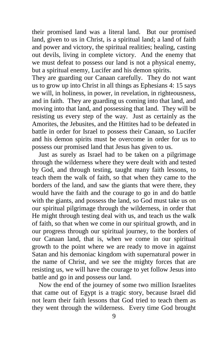their promised land was a literal land. But our promised land, given to us in Christ, is a spiritual land; a land of faith and power and victory, the spiritual realities; healing, casting out devils, living in complete victory. And the enemy that we must defeat to possess our land is not a physical enemy, but a spiritual enemy, Lucifer and his demon spirits.

They are guarding our Canaan carefully. They do not want us to grow up into Christ in all things as Ephesians 4: 15 says we will, in holiness, in power, in revelation, in righteousness, and in faith. They are guarding us coming into that land, and moving into that land, and possessing that land. They will be resisting us every step of the way. Just as certainly as the Amorites, the Jebusites, and the Hittites had to be defeated in battle in order for Israel to possess their Canaan, so Lucifer and his demon spirits must be overcome in order for us to possess our promised land that Jesus has given to us.

 Just as surely as Israel had to be taken on a pilgrimage through the wilderness where they were dealt with and tested by God, and through testing, taught many faith lessons, to teach them the walk of faith, so that when they came to the borders of the land, and saw the giants that were there, they would have the faith and the courage to go in and do battle with the giants, and possess the land, so God must take us on our spiritual pilgrimage through the wilderness, in order that He might through testing deal with us, and teach us the walk of faith, so that when we come in our spiritual growth, and in our progress through our spiritual journey, to the borders of our Canaan land, that is, when we come in our spiritual growth to the point where we are ready to move in against Satan and his demoniac kingdom with supernatural power in the name of Christ, and we see the mighty forces that are resisting us, we will have the courage to yet follow Jesus into battle and go in and possess our land.

 Now the end of the journey of some two million Israelites that came out of Egypt is a tragic story, because Israel did not learn their faith lessons that God tried to teach them as they went through the wilderness. Every time God brought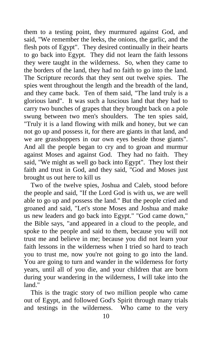them to a testing point, they murmured against God, and said, "We remember the leeks, the onions, the garlic, and the flesh pots of Egypt". They desired continually in their hearts to go back into Egypt. They did not learn the faith lessons they were taught in the wilderness. So, when they came to the borders of the land, they had no faith to go into the land. The Scripture records that they sent out twelve spies. The spies went throughout the length and the breadth of the land, and they came back. Ten of them said, "The land truly is a glorious land". It was such a luscious land that they had to carry two bunches of grapes that they brought back on a pole swung between two men's shoulders. The ten spies said, "Truly it is a land flowing with milk and honey, but we can not go up and possess it, for there are giants in that land, and we are grasshoppers in our own eyes beside those giants". And all the people began to cry and to groan and murmur against Moses and against God. They had no faith. They said, "We might as well go back into Egypt". They lost their faith and trust in God, and they said, "God and Moses just brought us out here to kill us

 Two of the twelve spies, Joshua and Caleb, stood before the people and said, "If the Lord God is with us, we are well able to go up and possess the land." But the people cried and groaned and said, "Let's stone Moses and Joshua and make us new leaders and go back into Egypt." "God came down," the Bible says, "and appeared in a cloud to the people, and spoke to the people and said to them, because you will not trust me and believe in me; because you did not learn your faith lessons in the wilderness when I tried so hard to teach you to trust me, now you're not going to go into the land. You are going to turn and wander in the wilderness for forty years, until all of you die, and your children that are born during your wandering in the wilderness, I will take into the land."

 This is the tragic story of two million people who came out of Egypt, and followed God's Spirit through many trials and testings in the wilderness. Who came to the very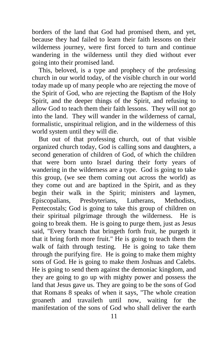borders of the land that God had promised them, and yet, because they had failed to learn their faith lessons on their wilderness journey, were first forced to turn and continue wandering in the wilderness until they died without ever going into their promised land.

 This, beloved, is a type and prophecy of the professing church in our world today, of the visible church in our world today made up of many people who are rejecting the move of the Spirit of God, who are rejecting the Baptism of the Holy Spirit, and the deeper things of the Spirit, and refusing to allow God to teach them their faith lessons. They will not go into the land. They will wander in the wilderness of carnal, formalistic, unspiritual religion, and in the wilderness of this world system until they will die.

 But out of that professing church, out of that visible organized church today, God is calling sons and daughters, a second generation of children of God, of which the children that were born unto Israel during their forty years of wandering in the wilderness are a type. God is going to take this group, (we see them coming out across the world) as they come out and are baptized in the Spirit, and as they begin their walk in the Spirit; ministers and laymen, Episcopalians, Presbyterians, Lutherans, Methodists, Pentecostals; God is going to take this group of children on their spiritual pilgrimage through the wilderness. He is going to break them. He is going to purge them, just as Jesus said, "Every branch that bringeth forth fruit, he purgeth it that it bring forth more fruit." He is going to teach them the walk of faith through testing. He is going to take them through the purifying fire. He is going to make them mighty sons of God. He is going to make them Joshuas and Calebs. He is going to send them against the demoniac kingdom, and they are going to go up with mighty power and possess the land that Jesus gave us. They are going to be the sons of God that Romans 8 speaks of when it says, "The whole creation groaneth and travaileth until now, waiting for the manifestation of the sons of God who shall deliver the earth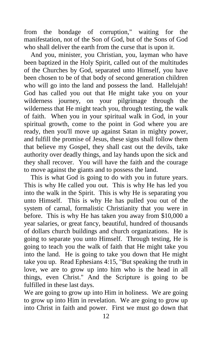from the bondage of corruption," waiting for the manifestation, not of the Son of God, but of the Sons of God who shall deliver the earth from the curse that is upon it.

 And you, minister, you Christian, you, layman who have been baptized in the Holy Spirit, called out of the multitudes of the Churches by God, separated unto Himself, you have been chosen to be of that body of second generation children who will go into the land and possess the land. Hallelujah! God has called you out that He might take you on your wilderness journey, on your pilgrimage through the wilderness that He might teach you, through testing, the walk of faith. When you in your spiritual walk in God, in your spiritual growth, come to the point in God where you are ready, then you'll move up against Satan in mighty power, and fulfill the promise of Jesus, these signs shall follow them that believe my Gospel, they shall cast out the devils, take authority over deadly things, and lay hands upon the sick and they shall recover. You will have the faith and the courage to move against the giants and to possess the land.

 This is what God is going to do with you in future years. This is why He called you out. This is why He has led you into the walk in the Spirit. This is why He is separating you unto Himself. This is why He has pulled you out of the system of carnal, formalistic Christianity that you were in before. This is why He has taken you away from \$10,000 a year salaries, or great fancy, beautiful, hundred of thousands of dollars church buildings and church organizations. He is going to separate you unto Himself. Through testing, He is going to teach you the walk of faith that He might take you into the land. He is going to take you down that He might take you up. Read Ephesians 4:15, "But speaking the truth in love, we are to grow up into him who is the head in all things, even Christ." And the Scripture is going to be fulfilled in these last days.

We are going to grow up into Him in holiness. We are going to grow up into Him in revelation. We are going to grow up into Christ in faith and power. First we must go down that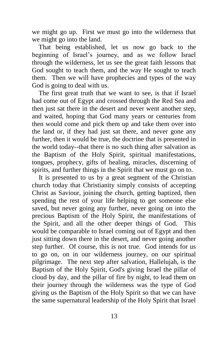we might go up. First we must go into the wilderness that we might go into the land.

 That being established, let us now go back to the beginning of Israel's journey, and as we follow Israel through the wilderness, let us see the great faith lessons that God sought to teach them, and the way He sought to teach them. Then we will have prophecies and types of the way God is going to deal with us.

 The first great truth that we want to see, is that if Israel had come out of Egypt and crossed through the Red Sea and then just sat there in the desert and never went another step, and waited, hoping that God many years or centuries from then would come and pick them up and take them over into the land or, if they had just sat there, and never gone any further, then it would be true, the doctrine that is presented in the world today--that there is no such thing after salvation as the Baptism of the Holy Spirit, spiritual manifestations, tongues, prophecy, gifts of healing, miracles, discerning of spirits, and further things in the Spirit that we must go on to.

 It is presented to us by a great segment of the Christian church today that Christianity simply consists of accepting Christ as Saviour, joining the church, getting baptized, then spending the rest of your life helping to get someone else saved, but never going any further, never going on into the precious Baptism of the Holy Spirit, the manifestations of the Spirit, and all the other deeper things of God. This would be comparable to Israel coming out of Egypt and then just sitting down there in the desert, and never going another step further. Of course, this is not true. God intends for us to go on, on in our wilderness journey, on our spiritual pilgrimage. The next step after salvation, Hallelujah, is the Baptism of the Holy Spirit, God's giving Israel the pillar of cloud by day, and the pillar of fire by night, to lead them on their journey through the wilderness was the type of God giving us the Baptism of the Holy Spirit so that we can have the same supernatural leadership of the Holy Spirit that Israel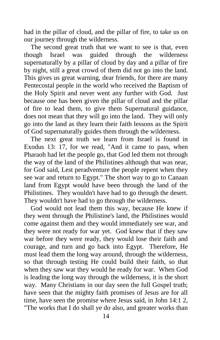had in the pillar of cloud, and the pillar of fire, to take us on our journey through the wilderness.

 The second great truth that we want to see is that, even though Israel was guided through the wilderness supernaturally by a pillar of cloud by day and a pillar of fire by night, still a great crowd of them did not go into the land. This gives us great warning, dear friends, for there are many Pentecostal people in the world who received the Baptism of the Holy Spirit and never went any further with God. Just because one has been given the pillar of cloud and the pillar of fire to lead them, to give them Supernatural guidance, does not mean that they will go into the land. They will only go into the land as they learn their faith lessons as the Spirit of God supernaturally guides them through the wilderness.

 The next great truth we learn from Israel is found in Exodus 13: 17, for we read, "And it came to pass, when Pharaoh had let the people go, that God led them not through the way of the land of the Philistines although that was near, for God said, Lest peradventure the people repent when they see war and return to Egypt." The short way to go to Canaan land from Egypt would have been through the land of the Philistines. They wouldn't have had to go through the desert. They wouldn't have had to go through the wilderness.

 God would not lead them this way, because He knew if they went through the Philistine's land, the Philistines would come against them and they would immediately see war, and they were not ready for war yet. God knew that if they saw war before they were ready, they would lose their faith and courage, and turn and go back into Egypt. Therefore, He must lead them the long way around, through the wilderness, so that through testing He could build their faith, so that when they saw war they would he ready for war. When God is leading the long way through the wilderness, it is the short way. Many Christians in our day seen the full Gospel truth; have seen that the mighty faith promises of Jesus are for all time, have seen the promise where Jesus said, in John 14:1 2, "The works that I do shall ye do also, and greater works than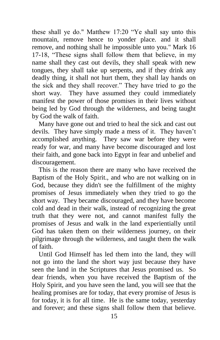these shall ye do." Matthew 17:20 "Ye shall say unto this mountain, remove hence to yonder place. and it shall remove, and nothing shall he impossible unto you." Mark 16 17-18, "These signs shall follow them that believe, in my name shall they cast out devils, they shall speak with new tongues, they shall take up serpents, and if they drink any deadly thing, it shall not hurt them, they shall lay hands on the sick and they shall recover." They have tried to go the short way. They have assumed they could immediately manifest the power of those promises in their lives without being led by God through the wilderness, and being taught by God the walk of faith.

 Many have gone out and tried to heal the sick and cast out devils. They have simply made a mess of it. They haven't accomplished anything. They saw war before they were ready for war, and many have become discouraged and lost their faith, and gone back into Egypt in fear and unbelief and discouragement.

 This is the reason there are many who have received the Baptism of the Holy Spirit., and who are not walking on in God, because they didn't see the fulfillment of the mighty promises of Jesus immediately when they tried to go the short way. They became discouraged, and they have become cold and dead in their walk, instead of recognizing the great truth that they were not, and cannot manifest fully the promises of Jesus and walk in the land experientially until God has taken them on their wilderness journey, on their pilgrimage through the wilderness, and taught them the walk of faith.

 Until God Himself has led them into the land, they will not go into the land the short way just because they have seen the land in the Scriptures that Jesus promised us. So dear friends, when you have received the Baptism of the Holy Spirit, and you have seen the land, you will see that the healing promises are for today, that every promise of Jesus is for today, it is for all time. He is the same today, yesterday and forever; and these signs shall follow them that believe.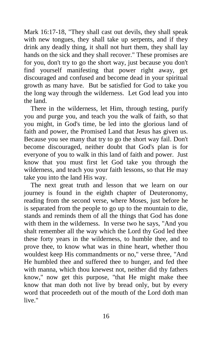Mark 16:17-18, "They shall cast out devils, they shall speak with new tongues, they shall take up serpents, and if they drink any deadly thing, it shall not hurt them, they shall lay hands on the sick and they shall recover." These promises are for you, don't try to go the short way, just because you don't find yourself manifesting that power right away, get discouraged and confused and become dead in your spiritual growth as many have. But be satisfied for God to take you the long way through the wilderness. Let God lead you into the land.

 There in the wilderness, let Him, through testing, purify you and purge you, and teach you the walk of faith, so that you might, in God's time, be led into the glorious land of faith and power, the Promised Land that Jesus has given us. Because you see many that try to go the short way fail. Don't become discouraged, neither doubt that God's plan is for everyone of you to walk in this land of faith and power. Just know that you must first let God take you through the wilderness, and teach you your faith lessons, so that He may take you into the land His way.

 The next great truth and lesson that we learn on our journey is found in the eighth chapter of Deuteronomy, reading from the second verse, where Moses, just before he is separated from the people to go up to the mountain to die, stands and reminds them of all the things that God has done with them in the wilderness. In verse two he says, "And you shalt remember all the way which the Lord thy God led thee these forty years in the wilderness, to humble thee, and to prove thee, to know what was in thine heart, whether thou wouldest keep His commandments or no," verse three, "And He humbled thee and suffered thee to hunger, and fed thee with manna, which thou knewest not, neither did thy fathers know," now get this purpose, "that He might make thee know that man doth not live by bread only, but by every word that proceedeth out of the mouth of the Lord doth man live."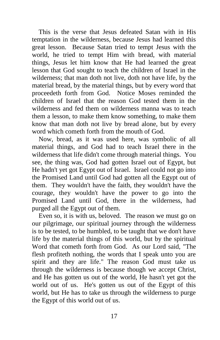This is the verse that Jesus defeated Satan with in His temptation in the wilderness, because Jesus had learned this great lesson. Because Satan tried to tempt Jesus with the world, he tried to tempt Him with bread, with material things, Jesus let him know that He had learned the great lesson that God sought to teach the children of Israel in the wilderness; that man doth not live, doth not have life, by the material bread, by the material things, but by every word that proceedeth forth from God. Notice Moses reminded the children of Israel that the reason God tested them in the wilderness and fed them on wilderness manna was to teach them a lesson, to make them know something, to make them know that man doth not live by bread alone, but by every word which cometh forth from the mouth of God.

 Now, bread, as it was used here, was symbolic of all material things, and God had to teach Israel there in the wilderness that life didn't come through material things. You see, the thing was, God had gotten Israel out of Egypt, but He hadn't yet got Egypt out of Israel. Israel could not go into the Promised Land until God had gotten all the Egypt out of them. They wouldn't have the faith, they wouldn't have the courage, they wouldn't have the power to go into the Promised Land until God, there in the wilderness, had purged all the Egypt out of them.

 Even so, it is with us, beloved. The reason we must go on our pilgrimage, our spiritual journey through the wilderness is to be tested, to be humbled, to be taught that we don't have life by the material things of this world, but by the spiritual Word that cometh forth from God. As our Lord said, "The flesh profiteth nothing, the words that I speak unto you are spirit and they are life." The reason God must take us through the wilderness is because though we accept Christ, and He has gotten us out of the world, He hasn't yet got the world out of us. He's gotten us out of the Egypt of this world, but He has to take us through the wilderness to purge the Egypt of this world out of us.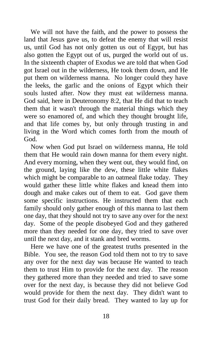We will not have the faith, and the power to possess the land that Jesus gave us, to defeat the enemy that will resist us, until God has not only gotten us out of Egypt, but has also gotten the Egypt out of us, purged the world out of us. In the sixteenth chapter of Exodus we are told that when God got Israel out in the wilderness, He took them down, and He put them on wilderness manna. No longer could they have the leeks, the garlic and the onions of Egypt which their souls lusted after. Now they must eat wilderness manna. God said, here in Deuteronomy 8:2, that He did that to teach them that it wasn't through the material things which they were so enamored of, and which they thought brought life, and that life comes by, but only through trusting in and living in the Word which comes forth from the mouth of God.

 Now when God put Israel on wilderness manna, He told them that He would rain down manna for them every night. And every morning, when they went out, they would find, on the ground, laying like the dew, these little white flakes which might be comparable to an oatmeal flake today. They would gather these little white flakes and knead them into dough and make cakes out of them to eat. God gave them some specific instructions. He instructed them that each family should only gather enough of this manna to last them one day, that they should not try to save any over for the next day. Some of the people disobeyed God and they gathered more than they needed for one day, they tried to save over until the next day, and it stank and bred worms.

 Here we have one of the greatest truths presented in the Bible. You see, the reason God told them not to try to save any over for the next day was because He wanted to teach them to trust Him to provide for the next day. The reason they gathered more than they needed and tried to save some over for the next day, is because they did not believe God would provide for them the next day. They didn't want to trust God for their daily bread. They wanted to lay up for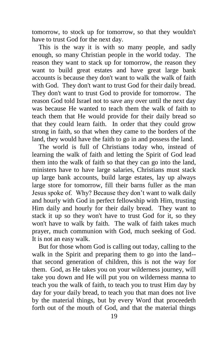tomorrow, to stock up for tomorrow, so that they wouldn't have to trust God for the next day.

 This is the way it is with so many people, and sadly enough, so many Christian people in the world today. The reason they want to stack up for tomorrow, the reason they want to build great estates and have great large bank accounts is because they don't want to walk the walk of faith with God. They don't want to trust God for their daily bread. They don't want to trust God to provide for tomorrow. The reason God told Israel not to save any over until the next day was because He wanted to teach them the walk of faith to teach them that He would provide for their daily bread so that they could learn faith. In order that they could grow strong in faith, so that when they came to the borders of the land, they would have the faith to go in and possess the land.

 The world is full of Christians today who, instead of learning the walk of faith and letting the Spirit of God lead them into the walk of faith so that they can go into the land, ministers have to have large salaries, Christians must stack up large bank accounts, build large estates, lay up always large store for tomorrow, fill their barns fuller as the man Jesus spoke of. Why? Because they don't want to walk daily and hourly with God in perfect fellowship with Him, trusting Him daily and hourly for their daily bread. They want to stack it up so they won't have to trust God for it, so they won't have to walk by faith. The walk of faith takes much prayer, much communion with God, much seeking of God. It is not an easy walk.

 But for those whom God is calling out today, calling to the walk in the Spirit and preparing them to go into the land- that second generation of children, this is not the way for them. God, as He takes you on your wilderness journey, will take you down and He will put you on wilderness manna to teach you the walk of faith, to teach you to trust Him day by day for your daily bread, to teach you that man does not live by the material things, but by every Word that proceedeth forth out of the mouth of God, and that the material things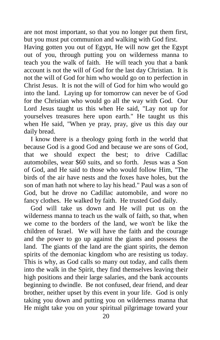are not most important, so that you no longer put them first, but you must put communion and walking with God first.

Having gotten you out of Egypt, He will now get the Egypt out of you, through putting you on wilderness manna to teach you the walk of faith. He will teach you that a bank account is not the will of God for the last day Christian. It is not the will of God for him who would go on to perfection in Christ Jesus. It is not the will of God for him who would go into the land. Laying up for tomorrow can never be of God for the Christian who would go all the way with God. Our Lord Jesus taught us this when He said, "Lay not up for yourselves treasures here upon earth." He taught us this when He said, "When ye pray, pray, give us this day our daily bread.

 I know there is a theology going forth in the world that because God is a good God and because we are sons of God, that we should expect the best; to drive Cadillac automobiles, wear \$60 suits, and so forth. Jesus was a Son of God, and He said to those who would follow Him, "The birds of the air have nests and the foxes have holes, but the son of man hath not where to lay his head." Paul was a son of God, but he drove no Cadillac automobile, and wore no fancy clothes. He walked by faith. He trusted God daily.

 God will take us down and He will put us on the wilderness manna to teach us the walk of faith, so that, when we come to the borders of the land, we won't be like the children of Israel. We will have the faith and the courage and the power to go up against the giants and possess the land. The giants of the land are the giant spirits, the demon spirits of the demoniac kingdom who are resisting us today. This is why, as God calls so many out today, and calls them into the walk in the Spirit, they find themselves leaving their high positions and their large salaries, and the bank accounts beginning to dwindle. Be not confused, dear friend, and dear brother, neither upset by this event in your life. God is only taking you down and putting you on wilderness manna that He might take you on your spiritual pilgrimage toward your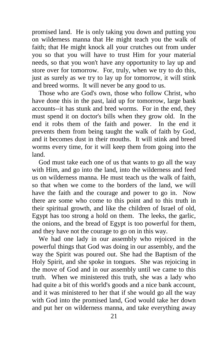promised land. He is only taking you down and putting you on wilderness manna that He might teach you the walk of faith; that He might knock all your crutches out from under you so that you will have to trust Him for your material needs, so that you won't have any opportunity to lay up and store over for tomorrow. For, truly, when we try to do this, just as surely as we try to lay up for tomorrow, it will stink and breed worms. It will never be any good to us.

 Those who are God's own, those who follow Christ, who have done this in the past, laid up for tomorrow, large bank accounts--it has stunk and bred worms. For in the end, they must spend it on doctor's bills when they grow old. In the end it robs them of the faith and power. In the end it prevents them from being taught the walk of faith by God, and it becomes dust in their mouths. It will stink and breed worms every time, for it will keep them from going into the land.

 God must take each one of us that wants to go all the way with Him, and go into the land, into the wilderness and feed us on wilderness manna. He must teach us the walk of faith, so that when we come to the borders of the land, we will have the faith and the courage and power to go in. Now there are some who come to this point and to this truth in their spiritual growth, and like the children of Israel of old, Egypt has too strong a hold on them. The leeks, the garlic, the onions, and the bread of Egypt is too powerful for them, and they have not the courage to go on in this way.

 We had one lady in our assembly who rejoiced in the powerful things that God was doing in our assembly, and the way the Spirit was poured out. She had the Baptism of the Holy Spirit, and she spoke in tongues. She was rejoicing in the move of God and in our assembly until we came to this truth. When we ministered this truth, she was a lady who had quite a bit of this world's goods and a nice bank account, and it was ministered to her that if she would go all the way with God into the promised land, God would take her down and put her on wilderness manna, and take everything away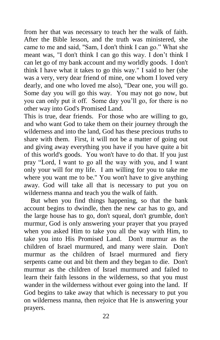from her that was necessary to teach her the walk of faith. After the Bible lesson, and the truth was ministered, she came to me and said, "Sam, I don't think I can go." What she meant was, "I don't think I can go this way. I don't think I can let go of my bank account and my worldly goods. I don't think I have what it takes to go this way." I said to her (she was a very, very dear friend of mine, one whom I loved very dearly, and one who loved me also), "Dear one, you will go. Some day you will go this way. You may not go now, but you can only put it off. Some day you'll go, for there is no other way into God's Promised Land.

This is true, dear friends. For those who are willing to go, and who want God to take them on their journey through the wilderness and into the land, God has these precious truths to share with them. First, it will not be a matter of going out and giving away everything you have if you have quite a bit of this world's goods. You won't have to do that. If you just pray "Lord, I want to go all the way with you, and I want only your will for my life. I am willing for you to take me where you want me to be." You won't have to give anything away. God will take all that is necessary to put you on wilderness manna and teach you the walk of faith.

 But when you find things happening, so that the bank account begins to dwindle, then the new car has to go, and the large house has to go, don't squeal, don't grumble, don't murmur, God is only answering your prayer that you prayed when you asked Him to take you all the way with Him, to take you into His Promised Land. Don't murmur as the children of Israel murmured, and many were slain. Don't murmur as the children of Israel murmured and fiery serpents came out and bit them and they began to die. Don't murmur as the children of Israel murmured and failed to learn their faith lessons in the wilderness, so that you must wander in the wilderness without ever going into the land. If God begins to take away that which is necessary to put you on wilderness manna, then rejoice that He is answering your prayers.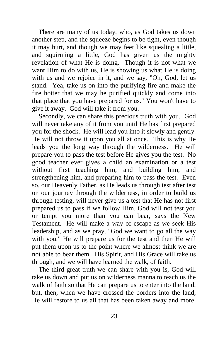There are many of us today, who, as God takes us down another step, and the squeeze begins to be tight, even though it may hurt, and though we may feet like squealing a little, and squirming a little, God has given us the mighty revelation of what He is doing. Though it is not what we want Him to do with us, He is showing us what He is doing with us and we rejoice in it, and we say, "Oh, God, let us stand. Yea, take us on into the purifying fire and make the fire hotter that we may he purified quickly and come into that place that you have prepared for us." You won't have to give it away. God will take it from you.

 Secondly, we can share this precious truth with you. God will never take any of it from you until He has first prepared you for the shock. He will lead you into it slowly and gently. He will not throw it upon you all at once. This is why He leads you the long way through the wilderness. He will prepare you to pass the test before He gives you the test. No good teacher ever gives a child an examination or a test without first teaching him, and building him, and strengthening him, and preparing him to pass the test. Even so, our Heavenly Father, as He leads us through test after test on our journey through the wilderness, in order to build us through testing, will never give us a test that He has not first prepared us to pass if we follow Him. God will not test you or tempt you more than you can bear, says the New Testament. He will make a way of escape as we seek His leadership, and as we pray, "God we want to go all the way with you." He will prepare us for the test and then He will put them upon us to the point where we almost think we are not able to bear them. His Spirit, and His Grace will take us through, and we will have learned the walk, of faith.

 The third great truth we can share with you is, God will take us down and put us on wilderness manna to teach us the walk of faith so that He can prepare us to enter into the land, but, then, when we have crossed the borders into the land, He will restore to us all that has been taken away and more.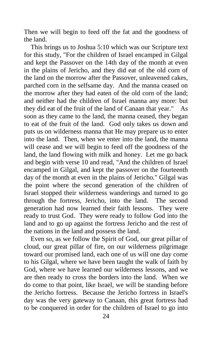Then we will begin to feed off the fat and the goodness of the land.

 This brings us to Joshua 5:10 which was our Scripture text for this study, "For the children of Israel encamped in Gilgal and kept the Passover on the 14th day of the month at even in the plains of Jericho, and they did eat of the old corn of the land on the morrow after the Passover, unleavened cakes, parched corn in the selfsame day. And the manna ceased on the morrow after they had eaten of the old corn of the land; and neither had the children of Israel manna any more: but they did eat of the fruit of the land of Canaan that year." As soon as they came to the land, the manna ceased, they began to eat of the fruit of the land. God only takes us down and puts us on wilderness manna that He may prepare us to enter into the land. Then, when we enter into the land, the manna will cease and we will begin to feed off the goodness of the land, the land flowing with milk and honey. Let me go back and begin with verse 10 and read, "And the children of Israel encamped in Gilgal, and kept the passover on the fourteenth day of the month at even in the plains of Jericho." Gilgal was the point where the second generation of the children of Israel stopped their wilderness wanderings and turned to go through the fortress, Jericho, into the land. The second generation had now learned their faith lessons. They were ready to trust God. They were ready to follow God into the land and to go up against the fortress Jericho and the rest of the nations in the land and possess the land.

 Even so, as we follow the Spirit of God, our great pillar of cloud, our great pillar of fire, on our wilderness pilgrimage toward our promised land, each one of us will one day come to his Gilgal, where we have been taught the walk of faith by God, where we have learned our wilderness lessons, and we are then ready to cross the borders into the land. When we do come to that point, like Israel, we will be standing before the Jericho fortress. Because the Jericho fortress in Israel's day was the very gateway to Canaan, this great fortress had to be conquered in order for the children of Israel to go into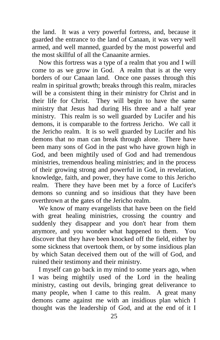the land. It was a very powerful fortress, and, because it guarded the entrance to the land of Canaan, it was very well armed, and well manned, guarded by the most powerful and the most skillful of all the Canaanite armies.

 Now this fortress was a type of a realm that you and I will come to as we grow in God. A realm that is at the very borders of our Canaan land. Once one passes through this realm in spiritual growth; breaks through this realm, miracles will be a consistent thing in their ministry for Christ and in their life for Christ. They will begin to have the same ministry that Jesus had during His three and a half year ministry. This realm is so well guarded by Lucifer and his demons, it is comparable to the fortress Jericho. We call it the Jericho realm. It is so well guarded by Lucifer and his demons that no man can break through alone. There have been many sons of God in the past who have grown high in God, and been mightily used of God and had tremendous ministries, tremendous healing ministries; and in the process of their growing strong and powerful in God, in revelation, knowledge, faith, and power, they have come to this Jericho realm. There they have been met by a force of Lucifer's demons so cunning and so insidious that they have been overthrown at the gates of the Jericho realm.

 We know of many evangelists that have been on the field with great healing ministries, crossing the country and suddenly they disappear and you don't hear from them anymore, and you wonder what happened to them. You discover that they have been knocked off the field, either by some sickness that overtook them, or by some insidious plan by which Satan deceived them out of the will of God, and ruined their testimony and their ministry.

 I myself can go back in my mind to some years ago, when I was being mightily used of the Lord in the healing ministry, casting out devils, bringing great deliverance to many people, when I came to this realm. A great many demons came against me with an insidious plan which I thought was the leadership of God, and at the end of it I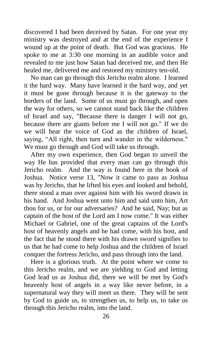discovered I had been deceived by Satan. For one year my ministry was destroyed and at the end of the experience I wound up at the point of death. But God was gracious. He spoke to me at 3:30 one morning in an audible voice and revealed to me just how Satan had deceived me, and then He healed me, delivered me and restored my ministry ten-old.

 No man can go through this Jericho realm alone. I learned it the hard way. Many have learned it the hard way, and yet it must be gone through because it is the gateway to the borders of the land. Some of us must go through, and open the way for others, so we cannot stand back like the children of Israel and say, "Because there is danger I will not go, because there are giants before me I will not go." If we do we will hear the voice of God as the children of Israel, saying, "All right, then turn and wander in the wilderness." We must go through and God will take us through.

 After my own experience, then God began to unveil the way He has provided that every man can go through this Jericho realm. And the way is found here in the book of Joshua. Notice verse 13, "Now it came to pass as Joshua was by Jericho, that he lifted his eyes and looked and behold, there stood a man over against him with his sword drawn in his hand. And Joshua went unto him and said unto him, Art thou for us, or for our adversaries? And he said, Nay; but as captain of the host of the Lord am I now come." It was either Michael or Gabriel, one of the great captains of the Lord's host of heavenly angels and he had come, with his host, and the fact that he stood there with his drawn sword signifies to us that he had come to help Joshua and the children of Israel conquer the fortress Jericho, and pass through into the land.

 Here is a glorious truth. At the point where we come to this Jericho realm, and we are yielding to God and letting God lead us as Joshua did, there we will be met by God's heavenly host of angels in a way like never before, in a supernatural way they will meet us there. They will be sent by God to guide us, to strengthen us, to help us, to take us through this Jericho realm, into the land.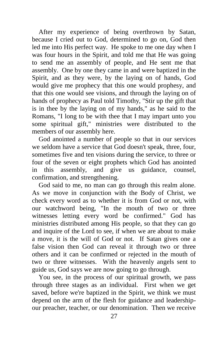After my experience of being overthrown by Satan, because I cried out to God, determined to go on, God then led me into His perfect way. He spoke to me one day when I was four hours in the Spirit, and told me that He was going to send me an assembly of people, and He sent me that assembly. One by one they came in and were baptized in the Spirit, and as they were, by the laying on of hands, God would give me prophecy that this one would prophesy, and that this one would see visions, and through the laying on of hands of prophecy as Paul told Timothy, "Stir up the gift that is in thee by the laying on of my hands," as he said to the Romans, "I long to be with thee that I may impart unto you some spiritual gift," ministries were distributed to the members of our assembly here.

 God anointed a number of people so that in our services we seldom have a service that God doesn't speak, three, four, sometimes five and ten visions during the service, to three or four of the seven or eight prophets which God has anointed in this assembly, and give us guidance, counsel, confirmation, and strengthening.

 God said to me, no man can go through this realm alone. As we move in conjunction with the Body of Christ, we check every word as to whether it is from God or not, with our watchword being, "In the mouth of two or three witnesses letting every word be confirmed." God has ministries distributed among His people, so that they can go and inquire of the Lord to see, if when we are about to make a move, it is the will of God or not. If Satan gives one a false vision then God can reveal it through two or three others and it can be confirmed or rejected in the mouth of two or three witnesses. With the heavenly angels sent to guide us, God says we are now going to go through.

 You see, in the process of our spiritual growth, we pass through three stages as an individual. First when we get saved, before we're baptized in the Spirit, we think we must depend on the arm of the flesh for guidance and leadershipour preacher, teacher, or our denomination. Then we receive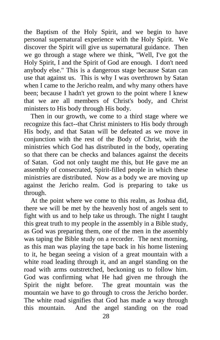the Baptism of the Holy Spirit, and we begin to have personal supernatural experience with the Holy Spirit. We discover the Spirit will give us supernatural guidance. Then we go through a stage where we think, "Well, I've got the Holy Spirit, I and the Spirit of God are enough. I don't need anybody else." This is a dangerous stage because Satan can use that against us. This is why I was overthrown by Satan when I came to the Jericho realm, and why many others have been; because I hadn't yet grown to the point where I knew that we are all members of Christ's body, and Christ ministers to His body through His body.

 Then in our growth, we come to a third stage where we recognize this fact--that Christ ministers to His body through His body, and that Satan will be defeated as we move in conjunction with the rest of the Body of Christ, with the ministries which God has distributed in the body, operating so that there can be checks and balances against the deceits of Satan. God not only taught me this, but He gave me an assembly of consecrated, Spirit-filled people in which these ministries are distributed. Now as a body we are moving up against the Jericho realm. God is preparing to take us through.

 At the point where we come to this realm, as Joshua did, there we will be met by the heavenly host of angels sent to fight with us and to help take us through. The night I taught this great truth to my people in the assembly in a Bible study, as God was preparing them, one of the men in the assembly was taping the Bible study on a recorder. The next morning, as this man was playing the tape back in his home listening to it, he began seeing a vision of a great mountain with a white road leading through it, and an angel standing on the road with arms outstretched, beckoning us to follow him. God was confirming what He had given me through the Spirit the night before. The great mountain was the mountain we have to go through to cross the Jericho border. The white road signifies that God has made a way through this mountain. And the angel standing on the road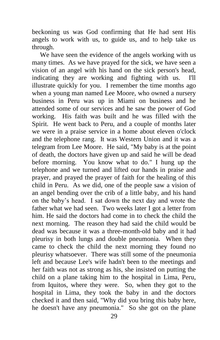beckoning us was God confirming that He had sent His angels to work with us, to guide us, and to help take us through.

We have seen the evidence of the angels working with us many times. As we have prayed for the sick, we have seen a vision of an angel with his hand on the sick person's head, indicating they are working and fighting with us. I'll illustrate quickly for you. I remember the time months ago when a young man named Lee Moore, who owned a nursery business in Peru was up in Miami on business and he attended some of our services and he saw the power of God working. His faith was built and he was filled with the Spirit. He went back to Peru, and a couple of months later we were in a praise service in a home about eleven o'clock and the telephone rang. It was Western Union and it was a telegram from Lee Moore. He said, "My baby is at the point of death, the doctors have given up and said he will be dead before morning. You know what to do." I hung up the telephone and we turned and lifted our hands in praise and prayer, and prayed the prayer of faith for the healing of this child in Peru. As we did, one of the people saw a vision of an angel bending over the crib of a little baby, and his hand on the baby's head. I sat down the next day and wrote the father what we had seen. Two weeks later I got a letter from him. He said the doctors had come in to check the child the next morning. The reason they had said the child would be dead was because it was a three-month-old baby and it had pleurisy in both lungs and double pneumonia. When they came to check the child the next morning they found no pleurisy whatsoever. There was still some of the pneumonia left and because Lee's wife hadn't been to the meetings and her faith was not as strong as his, she insisted on putting the child on a plane taking him to the hospital in Lima, Peru, from Iquitos, where they were. So, when they got to the hospital in Lima, they took the baby in and the doctors checked it and then said, "Why did you bring this baby here, he doesn't have any pneumonia." So she got on the plane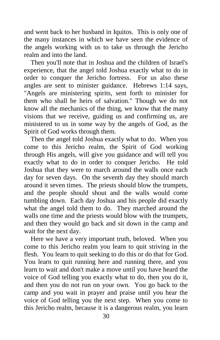and went back to her husband in Iquitos. This is only one of the many instances in which we have seen the evidence of the angels working with us to take us through the Jericho realm and into the land.

 Then you'll note that in Joshua and the children of Israel's experience, that the angel told Joshua exactly what to do in order to conquer the Jericho fortress. For us also these angles are sent to minister guidance. Hebrews 1:14 says, "Angels are ministering spirits, sent forth to minister for them who shall be heirs of salvation." Though we do not know all the mechanics of the thing, we know that the many visions that we receive, guiding us and confirming us, are ministered to us in some way by the angels of God, as the Spirit of God works through them.

 Then the angel told Joshua exactly what to do. When you come to this Jericho realm, the Spirit of God working through His angels, will give you guidance and will tell you exactly what to do in order to conquer Jericho. He told Joshua that they were to march around the walls once each day for seven days. On the seventh day they should march around it seven times. The priests should blow the trumpets, and the people should shout and the walls would come tumbling down. Each day Joshua and his people did exactly what the angel told them to do. They marched around the walls one time and the priests would blow with the trumpets, and then they would go back and sit down in the camp and wait for the next day.

 Here we have a very important truth, beloved. When you come to this Jericho realm you learn to quit striving in the flesh. You learn to quit seeking to do this or do that for God. You learn to quit running here and running there, and you learn to wait and don't make a move until you have heard the voice of God telling you exactly what to do, then you do it, and then you do not run on your own. You go back to the camp and you wait in prayer and praise until you hear the voice of God telling you the next step. When you come to this Jericho realm, because it is a dangerous realm, you learn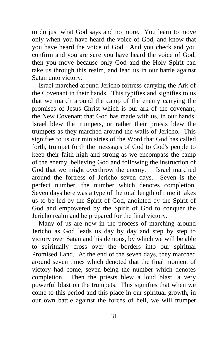to do just what God says and no more. You learn to move only when you have heard the voice of God, and know that you have heard the voice of God. And you check and you confirm and you are sure you have heard the voice of God, then you move because only God and the Holy Spirit can take us through this realm, and lead us in our battle against Satan unto victory.

 Israel marched around Jericho fortress carrying the Ark of the Covenant in their hands. This typifies and signifies to us that we march around the camp of the enemy carrying the promises of Jesus Christ which is our ark of the covenant, the New Covenant that God has made with us, in our hands. Israel blew the trumpets, or rather their priests blew the trumpets as they marched around the walls of Jericho. This signifies to us our ministries of the Word that God has called forth, trumpet forth the messages of God to God's people to keep their faith high and strong as we encompass the camp of the enemy, believing God and following the instruction of God that we might overthrow the enemy. Israel marched around the fortress of Jericho seven days. Seven is the perfect number, the number which denotes completion. Seven days here was a type of the total length of time it takes us to be led by the Spirit of God, anointed by the Spirit of God and empowered by the Spirit of God to conquer the Jericho realm and be prepared for the final victory.

 Many of us are now in the process of marching around Jericho as God leads us day by day and step by step to victory over Satan and his demons, by which we will be able to spiritually cross over the borders into our spiritual Promised Land. At the end of the seven days, they marched around seven times which denoted that the final moment of victory had come, seven being the number which denotes completion. Then the priests blew a loud blast, a very powerful blast on the trumpets. This signifies that when we come to this period and this place in our spiritual growth, in our own battle against the forces of hell, we will trumpet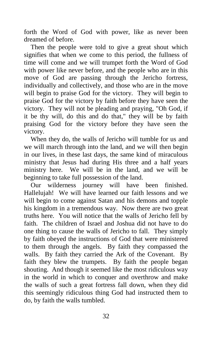forth the Word of God with power, like as never been dreamed of before.

 Then the people were told to give a great shout which signifies that when we come to this period, the fullness of time will come and we will trumpet forth the Word of God with power like never before, and the people who are in this move of God are passing through the Jericho fortress, individually and collectively, and those who are in the move will begin to praise God for the victory. They will begin to praise God for the victory by faith before they have seen the victory. They will not be pleading and praying, "Oh God, if it be thy will, do this and do that," they will be by faith praising God for the victory before they have seen the victory.

 When they do, the walls of Jericho will tumble for us and we will march through into the land, and we will then begin in our lives, in these last days, the same kind of miraculous ministry that Jesus had during His three and a half years ministry here. We will be in the land, and we will be beginning to take full possession of the land.

 Our wilderness journey will have been finished. Hallelujah! We will have learned our faith lessons and we will begin to come against Satan and his demons and topple his kingdom in a tremendous way. Now there are two great truths here. You will notice that the walls of Jericho fell by faith. The children of Israel and Joshua did not have to do one thing to cause the walls of Jericho to fall. They simply by faith obeyed the instructions of God that were ministered to them through the angels. By faith they compassed the walls. By faith they carried the Ark of the Covenant. By faith they blew the trumpets. By faith the people began shouting. And though it seemed like the most ridiculous way in the world in which to conquer and overthrow and make the walls of such a great fortress fall down, when they did this seemingly ridiculous thing God had instructed them to do, by faith the walls tumbled.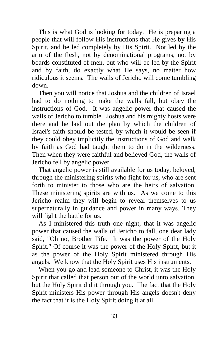This is what God is looking for today. He is preparing a people that will follow His instructions that He gives by His Spirit, and be led completely by His Spirit. Not led by the arm of the flesh, not by denominational programs, not by boards constituted of men, but who will be led by the Spirit and by faith, do exactly what He says, no matter how ridiculous it seems. The walls of Jericho will come tumbling down.

 Then you will notice that Joshua and the children of Israel had to do nothing to make the walls fall, but obey the instructions of God. It was angelic power that caused the walls of Jericho to tumble. Joshua and his mighty hosts were there and he laid out the plan by which the children of Israel's faith should be tested, by which it would be seen if they could obey implicitly the instructions of God and walk by faith as God had taught them to do in the wilderness. Then when they were faithful and believed God, the walls of Jericho fell by angelic power.

 That angelic power is still available for us today, beloved, through the ministering spirits who fight for us, who are sent forth to minister to those who are the heirs of salvation. These ministering spirits are with us. As we come to this Jericho realm they will begin to reveal themselves to us supernaturally in guidance and power in many ways. They will fight the battle for us.

 As I ministered this truth one night, that it was angelic power that caused the walls of Jericho to fall, one dear lady said, "Oh no, Brother Fife. It was the power of the Holy Spirit." Of course it was the power of the Holy Spirit, but it as the power of the Holy Spirit ministered through His angels. We know that the Holy Spirit uses His instruments.

 When you go and lead someone to Christ, it was the Holy Spirit that called that person out of the world unto salvation, but the Holy Spirit did it through you. The fact that the Holy Spirit ministers His power through His angels doesn't deny the fact that it is the Holy Spirit doing it at all.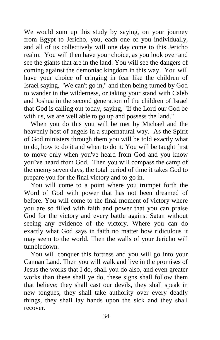We would sum up this study by saying, on your journey from Egypt to Jericho, you, each one of you individually, and all of us collectively will one day come to this Jericho realm. You will then have your choice, as you look over and see the giants that are in the land. You will see the dangers of coming against the demoniac kingdom in this way. You will have your choice of cringing in fear like the children of Israel saying, "We can't go in," and then being turned by God to wander in the wilderness, or taking your stand with Caleb and Joshua in the second generation of the children of Israel that God is calling out today, saying, "If the Lord our God be with us, we are well able to go up and possess the land."

 When you do this you will be met by Michael and the heavenly host of angels in a supernatural way. As the Spirit of God ministers through them you will be told exactly what to do, how to do it and when to do it. You will be taught first to move only when you've heard from God and you know you've heard from God. Then you will compass the camp of the enemy seven days, the total period of time it takes God to prepare you for the final victory and to go in.

 You will come to a point where you trumpet forth the Word of God with power that has not been dreamed of before. You will come to the final moment of victory where you are so filled with faith and power that you can praise God for the victory and every battle against Satan without seeing any evidence of the victory. Where you can do exactly what God says in faith no matter how ridiculous it may seem to the world. Then the walls of your Jericho will tumbledown.

 You will conquer this fortress and you will go into your Cannan Land. Then you will walk and live in the promises of Jesus the works that I do, shall you do also, and even greater works than these shall ye do, these signs shall follow them that believe; they shall cast our devils, they shall speak in new tongues, they shall take authority over every deadly things, they shall lay hands upon the sick and they shall recover.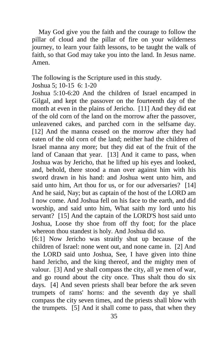May God give you the faith and the courage to follow the pillar of cloud and the pillar of fire on your wilderness journey, to learn your faith lessons, to be taught the walk of faith, so that God may take you into the land. In Jesus name. Amen.

The following is the Scripture used in this study.

Joshua 5; 10-15 6: 1-20

Joshua 5:10-6:20 And the children of Israel encamped in Gilgal, and kept the passover on the fourteenth day of the month at even in the plains of Jericho. [11] And they did eat of the old corn of the land on the morrow after the passover, unleavened cakes, and parched corn in the selfsame day. [12] And the manna ceased on the morrow after they had eaten of the old corn of the land; neither had the children of Israel manna any more; but they did eat of the fruit of the land of Canaan that year. [13] And it came to pass, when Joshua was by Jericho, that he lifted up his eyes and looked, and, behold, there stood a man over against him with his sword drawn in his hand: and Joshua went unto him, and said unto him, Art thou for us, or for our adversaries? [14] And he said, Nay; but as captain of the host of the LORD am I now come. And Joshua fell on his face to the earth, and did worship, and said unto him, What saith my lord unto his servant? [15] And the captain of the LORD'S host said unto Joshua, Loose thy shoe from off thy foot; for the place whereon thou standest is holy. And Joshua did so.

[6:1] Now Jericho was straitly shut up because of the children of Israel: none went out, and none came in. [2] And the LORD said unto Joshua, See, I have given into thine hand Jericho, and the king thereof, and the mighty men of valour. [3] And ye shall compass the city, all ye men of war, and go round about the city once. Thus shalt thou do six days. [4] And seven priests shall bear before the ark seven trumpets of rams' horns: and the seventh day ye shall compass the city seven times, and the priests shall blow with the trumpets. [5] And it shall come to pass, that when they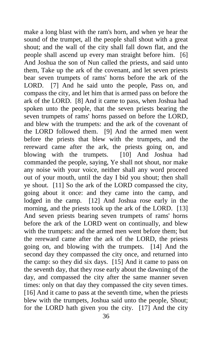make a long blast with the ram's horn, and when ye hear the sound of the trumpet, all the people shall shout with a great shout; and the wall of the city shall fall down flat, and the people shall ascend up every man straight before him. [6] And Joshua the son of Nun called the priests, and said unto them, Take up the ark of the covenant, and let seven priests bear seven trumpets of rams' horns before the ark of the LORD. [7] And he said unto the people, Pass on, and compass the city, and let him that is armed pass on before the ark of the LORD. [8] And it came to pass, when Joshua had spoken unto the people, that the seven priests bearing the seven trumpets of rams' horns passed on before the LORD, and blew with the trumpets: and the ark of the covenant of the LORD followed them. [9] And the armed men went before the priests that blew with the trumpets, and the rereward came after the ark, the priests going on, and blowing with the trumpets. [10] And Joshua had commanded the people, saying, Ye shall not shout, nor make any noise with your voice, neither shall any word proceed out of your mouth, until the day I bid you shout; then shall ye shout. [11] So the ark of the LORD compassed the city, going about it once: and they came into the camp, and lodged in the camp. [12] And Joshua rose early in the morning, and the priests took up the ark of the LORD. [13] And seven priests bearing seven trumpets of rams' horns before the ark of the LORD went on continually, and blew with the trumpets: and the armed men went before them; but the rereward came after the ark of the LORD, the priests going on, and blowing with the trumpets. [14] And the second day they compassed the city once, and returned into the camp: so they did six days. [15] And it came to pass on the seventh day, that they rose early about the dawning of the day, and compassed the city after the same manner seven times: only on that day they compassed the city seven times. [16] And it came to pass at the seventh time, when the priests blew with the trumpets, Joshua said unto the people, Shout; for the LORD hath given you the city. [17] And the city